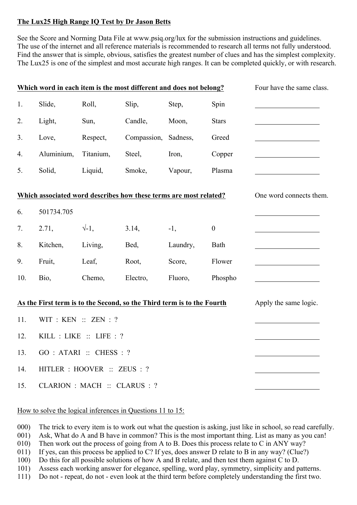## **The Lux25 High Range IQ Test by Dr Jason Betts**

See the Score and Norming Data File at www.psiq.org/lux for the submission instructions and guidelines. The use of the internet and all reference materials is recommended to research all terms not fully understood. Find the answer that is simple, obvious, satisfies the greatest number of clues and has the simplest complexity. The Lux25 is one of the simplest and most accurate high ranges. It can be completed quickly, or with research.

| Which word in each item is the most different and does not belong?     |                              |               |                      |          |                  | Four have the same class. |
|------------------------------------------------------------------------|------------------------------|---------------|----------------------|----------|------------------|---------------------------|
| 1.                                                                     | Slide,                       | Roll,         | Slip,                | Step,    | Spin             |                           |
| 2.                                                                     | Light,                       | Sun,          | Candle,              | Moon,    | <b>Stars</b>     |                           |
| 3.                                                                     | Love,                        | Respect,      | Compassion, Sadness, |          | Greed            |                           |
| 4.                                                                     | Aluminium,                   | Titanium,     | Steel,               | Iron,    | Copper           |                           |
| 5.                                                                     | Solid,                       | Liquid,       | Smoke,               | Vapour,  | Plasma           |                           |
| Which associated word describes how these terms are most related?      |                              |               |                      |          |                  | One word connects them.   |
| 6.                                                                     | 501734.705                   |               |                      |          |                  |                           |
| 7.                                                                     | 2.71,                        | $\sqrt{-1}$ , | 3.14,                | $-1$ ,   | $\boldsymbol{0}$ |                           |
| 8.                                                                     | Kitchen,                     | Living,       | Bed,                 | Laundry, | Bath             |                           |
| 9.                                                                     | Fruit,                       | Leaf,         | Root,                | Score,   | Flower           |                           |
| 10.                                                                    | Bio,                         | Chemo,        | Electro,             | Fluoro,  | Phospho          |                           |
| As the First term is to the Second, so the Third term is to the Fourth |                              |               |                      |          |                  | Apply the same logic.     |
| 11.                                                                    | WIT : $KEN :: ZEN : ?$       |               |                      |          |                  |                           |
| 12.                                                                    | KILL : LIKE :: LIFE : ?      |               |                      |          |                  |                           |
| 13.                                                                    | GO : ATARI :: CHESS : ?      |               |                      |          |                  |                           |
| 14.                                                                    | HITLER : HOOVER :: ZEUS : ?  |               |                      |          |                  |                           |
| 15.                                                                    | CLARION : MACH :: CLARUS : ? |               |                      |          |                  |                           |

## How to solve the logical inferences in Questions 11 to 15:

000) The trick to every item is to work out what the question is asking, just like in school, so read carefully.

- 001) Ask, What do A and B have in common? This is the most important thing. List as many as you can!
- 010) Then work out the process of going from A to B. Does this process relate to C in ANY way?
- 011) If yes, can this process be applied to C? If yes, does answer D relate to B in any way? (Clue?)
- 100) Do this for all possible solutions of how A and B relate, and then test them against C to D.
- 101) Assess each working answer for elegance, spelling, word play, symmetry, simplicity and patterns.
- 111) Do not repeat, do not even look at the third term before completely understanding the first two.